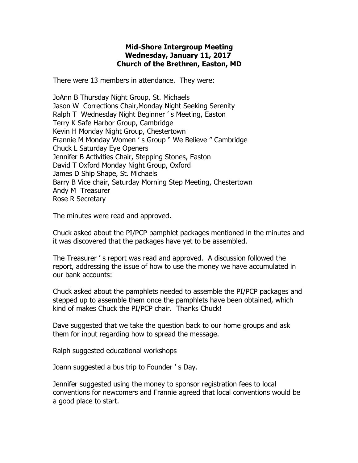## **Mid-Shore Intergroup Meeting Wednesday, January 11, 2017 Church of the Brethren, Easton, MD**

There were 13 members in attendance. They were:

JoAnn B Thursday Night Group, St. Michaels Jason W Corrections Chair,Monday Night Seeking Serenity Ralph T Wednesday Night Beginner ' s Meeting, Easton Terry K Safe Harbor Group, Cambridge Kevin H Monday Night Group, Chestertown Frannie M Monday Women ' s Group " We Believe " Cambridge Chuck L Saturday Eye Openers Jennifer B Activities Chair, Stepping Stones, Easton David T Oxford Monday Night Group, Oxford James D Ship Shape, St. Michaels Barry B Vice chair, Saturday Morning Step Meeting, Chestertown Andy M Treasurer Rose R Secretary

The minutes were read and approved.

Chuck asked about the PI/PCP pamphlet packages mentioned in the minutes and it was discovered that the packages have yet to be assembled.

The Treasurer ' s report was read and approved. A discussion followed the report, addressing the issue of how to use the money we have accumulated in our bank accounts:

Chuck asked about the pamphlets needed to assemble the PI/PCP packages and stepped up to assemble them once the pamphlets have been obtained, which kind of makes Chuck the PI/PCP chair. Thanks Chuck!

Dave suggested that we take the question back to our home groups and ask them for input regarding how to spread the message.

Ralph suggested educational workshops

Joann suggested a bus trip to Founder ' s Day.

Jennifer suggested using the money to sponsor registration fees to local conventions for newcomers and Frannie agreed that local conventions would be a good place to start.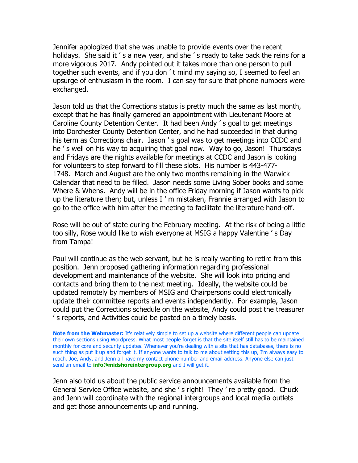Jennifer apologized that she was unable to provide events over the recent holidays. She said it 's a new year, and she 's ready to take back the reins for a more vigorous 2017. Andy pointed out it takes more than one person to pull together such events, and if you don ' t mind my saying so, I seemed to feel an upsurge of enthusiasm in the room. I can say for sure that phone numbers were exchanged.

Jason told us that the Corrections status is pretty much the same as last month, except that he has finally garnered an appointment with Lieutenant Moore at Caroline County Detention Center. It had been Andy ' s goal to get meetings into Dorchester County Detention Center, and he had succeeded in that during his term as Corrections chair. Jason ' s goal was to get meetings into CCDC and he ' s well on his way to acquiring that goal now. Way to go, Jason! Thursdays and Fridays are the nights available for meetings at CCDC and Jason is looking for volunteers to step forward to fill these slots. His number is 443-477- 1748. March and August are the only two months remaining in the Warwick Calendar that need to be filled. Jason needs some Living Sober books and some Where & Whens. Andy will be in the office Friday morning if Jason wants to pick up the literature then; but, unless I ' m mistaken, Frannie arranged with Jason to go to the office with him after the meeting to facilitate the literature hand-off.

Rose will be out of state during the February meeting. At the risk of being a little too silly, Rose would like to wish everyone at MSIG a happy Valentine ' s Day from Tampa!

Paul will continue as the web servant, but he is really wanting to retire from this position. Jenn proposed gathering information regarding professional development and maintenance of the website. She will look into pricing and contacts and bring them to the next meeting. Ideally, the website could be updated remotely by members of MSIG and Chairpersons could electronically update their committee reports and events independently. For example, Jason could put the Corrections schedule on the website, Andy could post the treasurer ' s reports, and Activities could be posted on a timely basis.

**Note from the Webmaster:** It's relatively simple to set up a website where different people can update their own sections using Wordpress. What most people forget is that the site itself still has to be maintained monthly for core and security updates. Whenever you're dealing with a site that has databases, there is no such thing as put it up and forget it. If anyone wants to talk to me about setting this up, I'm always easy to reach. Joe, Andy, and Jenn all have my contact phone number and email address. Anyone else can just send an email to **[info@midshoreintergroup.org](mailto:info@midshoreintergroup.org)** and I will get it.

Jenn also told us about the public service announcements available from the General Service Office website, and she ' s right! They ' re pretty good. Chuck and Jenn will coordinate with the regional intergroups and local media outlets and get those announcements up and running.